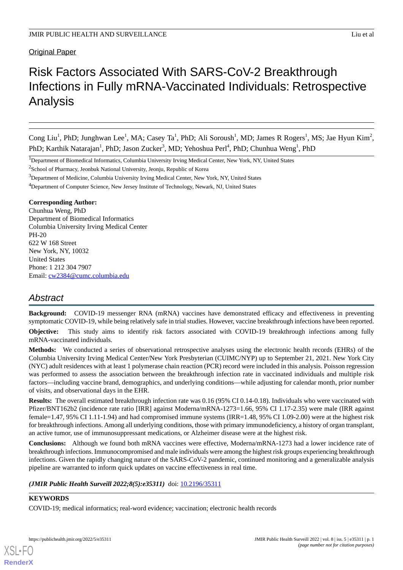Original Paper

# Risk Factors Associated With SARS-CoV-2 Breakthrough Infections in Fully mRNA-Vaccinated Individuals: Retrospective Analysis

Cong Liu<sup>1</sup>, PhD; Junghwan Lee<sup>1</sup>, MA; Casey Ta<sup>1</sup>, PhD; Ali Soroush<sup>1</sup>, MD; James R Rogers<sup>1</sup>, MS; Jae Hyun Kim<sup>2</sup>, PhD; Karthik Natarajan<sup>1</sup>, PhD; Jason Zucker<sup>3</sup>, MD; Yehoshua Perl<sup>4</sup>, PhD; Chunhua Weng<sup>1</sup>, PhD

<sup>1</sup>Department of Biomedical Informatics, Columbia University Irving Medical Center, New York, NY, United States

<sup>2</sup>School of Pharmacy, Jeonbuk National University, Jeonju, Republic of Korea

<sup>3</sup>Department of Medicine, Columbia University Irving Medical Center, New York, NY, United States

<sup>4</sup>Department of Computer Science, New Jersey Institute of Technology, Newark, NJ, United States

#### **Corresponding Author:**

Chunhua Weng, PhD Department of Biomedical Informatics Columbia University Irving Medical Center PH-20 622 W 168 Street New York, NY, 10032 United States Phone: 1 212 304 7907 Email: [cw2384@cumc.columbia.edu](mailto:cw2384@cumc.columbia.edu)

# *Abstract*

**Background:** COVID-19 messenger RNA (mRNA) vaccines have demonstrated efficacy and effectiveness in preventing symptomatic COVID-19, while being relatively safe in trial studies. However, vaccine breakthrough infections have been reported.

**Objective:** This study aims to identify risk factors associated with COVID-19 breakthrough infections among fully mRNA-vaccinated individuals.

**Methods:** We conducted a series of observational retrospective analyses using the electronic health records (EHRs) of the Columbia University Irving Medical Center/New York Presbyterian (CUIMC/NYP) up to September 21, 2021. New York City (NYC) adult residences with at least 1 polymerase chain reaction (PCR) record were included in this analysis. Poisson regression was performed to assess the association between the breakthrough infection rate in vaccinated individuals and multiple risk factors—including vaccine brand, demographics, and underlying conditions—while adjusting for calendar month, prior number of visits, and observational days in the EHR.

**Results:** The overall estimated breakthrough infection rate was 0.16 (95% CI 0.14-0.18). Individuals who were vaccinated with Pfizer/BNT162b2 (incidence rate ratio [IRR] against Moderna/mRNA-1273=1.66, 95% CI 1.17-2.35) were male (IRR against female=1.47, 95% CI 1.11-1.94) and had compromised immune systems (IRR=1.48, 95% CI 1.09-2.00) were at the highest risk for breakthrough infections. Among all underlying conditions, those with primary immunodeficiency, a history of organ transplant, an active tumor, use of immunosuppressant medications, or Alzheimer disease were at the highest risk.

**Conclusions:** Although we found both mRNA vaccines were effective, Moderna/mRNA-1273 had a lower incidence rate of breakthrough infections. Immunocompromised and male individuals were among the highest risk groups experiencing breakthrough infections. Given the rapidly changing nature of the SARS-CoV-2 pandemic, continued monitoring and a generalizable analysis pipeline are warranted to inform quick updates on vaccine effectiveness in real time.

*(JMIR Public Health Surveill 2022;8(5):e35311)* doi: **10.2196/35311** 

### **KEYWORDS**

[XSL](http://www.w3.org/Style/XSL)•FO **[RenderX](http://www.renderx.com/)**

COVID-19; medical informatics; real-word evidence; vaccination; electronic health records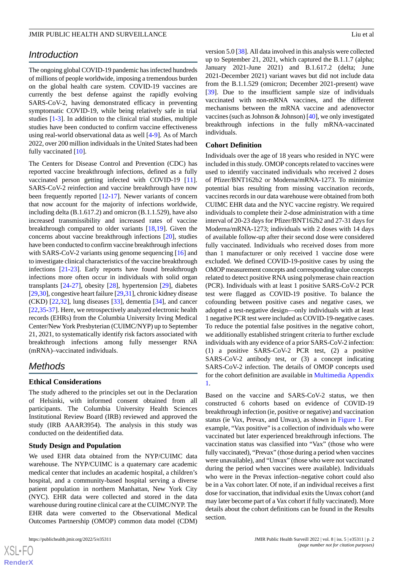# *Introduction*

The ongoing global COVID-19 pandemic has infected hundreds of millions of people worldwide, imposing a tremendous burden on the global health care system. COVID-19 vaccines are currently the best defense against the rapidly evolving SARS-CoV-2, having demonstrated efficacy in preventing symptomatic COVID-19, while being relatively safe in trial studies [[1-](#page-11-0)[3](#page-11-1)]. In addition to the clinical trial studies, multiple studies have been conducted to confirm vaccine effectiveness using real-world observational data as well [[4-](#page-11-2)[9\]](#page-11-3). As of March 2022, over 200 million individuals in the United States had been fully vaccinated [\[10](#page-11-4)].

The Centers for Disease Control and Prevention (CDC) has reported vaccine breakthrough infections, defined as a fully vaccinated person getting infected with COVID-19 [[11\]](#page-11-5). SARS-CoV-2 reinfection and vaccine breakthrough have now been frequently reported [\[12](#page-11-6)[-17](#page-11-7)]. Newer variants of concern that now account for the majority of infections worldwide, including delta (B.1.617.2) and omicron (B.1.1.529), have also increased transmissibility and increased rates of vaccine breakthrough compared to older variants [[18](#page-11-8)[,19](#page-11-9)]. Given the concerns about vaccine breakthrough infections [\[20](#page-11-10)], studies have been conducted to confirm vaccine breakthrough infections with SARS-CoV-2 variants using genome sequencing [[16\]](#page-11-11) and to investigate clinical characteristics of the vaccine breakthrough infections [[21-](#page-11-12)[23](#page-12-0)]. Early reports have found breakthrough infections more often occur in individuals with solid organ transplants [[24-](#page-12-1)[27](#page-12-2)], obesity [\[28](#page-12-3)], hypertension [\[29](#page-12-4)], diabetes [[29,](#page-12-4)[30](#page-12-5)], congestive heart failure [\[29](#page-12-4),[31\]](#page-12-6), chronic kidney disease (CKD) [[22,](#page-11-13)[32](#page-12-7)], lung diseases [[33\]](#page-12-8), dementia [\[34](#page-12-9)], and cancer [[22](#page-11-13)[,35](#page-12-10)-[37\]](#page-12-11). Here, we retrospectively analyzed electronic health records (EHRs) from the Columbia University Irving Medical Center/New York Presbyterian (CUIMC/NYP) up to September 21, 2021, to systematically identify risk factors associated with breakthrough infections among fully messenger RNA (mRNA)–vaccinated individuals.

# *Methods*

#### **Ethical Considerations**

The study adhered to the principles set out in the Declaration of Helsinki, with informed consent obtained from all participants. The Columbia University Health Sciences Institutional Review Board (IRB) reviewed and approved the study (IRB AAAR3954). The analysis in this study was conducted on the deidentified data.

#### **Study Design and Population**

We used EHR data obtained from the NYP/CUIMC data warehouse. The NYP/CUIMC is a quaternary care academic medical center that includes an academic hospital, a children's hospital, and a community-based hospital serving a diverse patient population in northern Manhattan, New York City (NYC). EHR data were collected and stored in the data warehouse during routine clinical care at the CUIMC/NYP. The EHR data were converted to the Observational Medical Outcomes Partnership (OMOP) common data model (CDM)

version 5.0 [[38\]](#page-12-12). All data involved in this analysis were collected up to September 21, 2021, which captured the B.1.1.7 (alpha; January 2021-June 2021) and B.1.617.2 (delta; June 2021**-**December 2021) variant waves but did not include data from the B.1.1.529 (omicron; December 2021**-**present) wave [[39\]](#page-12-13). Due to the insufficient sample size of individuals vaccinated with non-mRNA vaccines, and the different mechanisms between the mRNA vaccine and adenovector vaccines (such as Johnson & Johnson) [\[40\]](#page-12-14), we only investigated breakthrough infections in the fully mRNA-vaccinated individuals.

#### **Cohort Definition**

Individuals over the age of 18 years who resided in NYC were included in this study. OMOP concepts related to vaccines were used to identify vaccinated individuals who received 2 doses of Pfizer/BNT162b2 or Moderna/mRNA-1273. To minimize potential bias resulting from missing vaccination records, vaccines records in our data warehouse were obtained from both CUIMC EHR data and the NYC vaccine registry. We required individuals to complete their 2-dose administration with a time interval of 20-23 days for Pfizer/BNT162b2 and 27-31 days for Moderna/mRNA-1273; individuals with 2 doses with 14 days of available follow-up after their second dose were considered fully vaccinated. Individuals who received doses from more than 1 manufacturer or only received 1 vaccine dose were excluded. We defined COVID-19-positive cases by using the OMOP measurement concepts and corresponding value concepts related to detect positive RNA using polymerase chain reaction (PCR). Individuals with at least 1 positive SARS-CoV-2 PCR test were flagged as COVID-19 positive. To balance the cofounding between positive cases and negative cases, we adopted a test-negative design—only individuals with at least 1 negative PCR test were included as COVID-19-negative cases. To reduce the potential false positives in the negative cohort, we additionally established stringent criteria to further exclude individuals with any evidence of a prior SARS-CoV-2 infection: (1) a positive SARS-CoV-2 PCR test, (2) a positive SARS-CoV-2 antibody test, or (3) a concept indicating SARS-CoV-2 infection. The details of OMOP concepts used for the cohort definition are available in [Multimedia Appendix](#page-10-0) [1.](#page-10-0)

Based on the vaccine and SARS-CoV-2 status, we then constructed 6 cohorts based on evidence of COVID-19 breakthrough infection (ie, positive or negative) and vaccination status (ie Vax, Prevax, and Unvax), as shown in [Figure 1.](#page-2-0) For example, "Vax positive" is a collection of individuals who were vaccinated but later experienced breakthrough infections. The vaccination status was classified into "Vax" (those who were fully vaccinated), "Prevax" (those during a period when vaccines were unavailable), and "Unvax" (those who were not vaccinated during the period when vaccines were available). Individuals who were in the Prevax infection–negative cohort could also be in a Vax cohort later. Of note, if an individual receives a first dose for vaccination, that individual exits the Unvax cohort (and may later become part of a Vax cohort if fully vaccinated). More details about the cohort definitions can be found in the Results section.

```
XS • F(
RenderX
```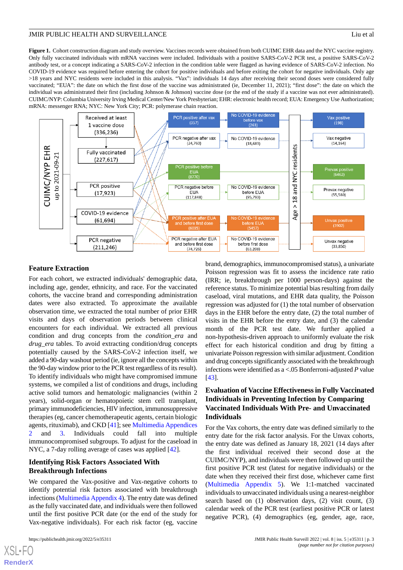<span id="page-2-0"></span>**Figure 1.** Cohort construction diagram and study overview. Vaccines records were obtained from both CUIMC EHR data and the NYC vaccine registry. Only fully vaccinated individuals with mRNA vaccines were included. Individuals with a positive SARS-CoV-2 PCR test, a positive SARS-CoV-2 antibody test, or a concept indicating a SARS-CoV-2 infection in the condition table were flagged as having evidence of SARS-CoV-2 infection. No COVID-19 evidence was required before entering the cohort for positive individuals and before exiting the cohort for negative individuals. Only age >18 years and NYC residents were included in this analysis. "Vax": individuals 14 days after receiving their second doses were considered fully vaccinated; "EUA": the date on which the first dose of the vaccine was administrated (ie, December 11, 2021); "first dose": the date on which the individual was administrated their first (including Johnson & Johnson) vaccine dose (or the end of the study if a vaccine was not ever administrated). CUIMC/NYP: Columbia University Irving Medical Center/New York Presbyterian; EHR: electronic health record; EUA: Emergency Use Authorization; mRNA: messenger RNA; NYC: New York City; PCR: polymerase chain reaction.



#### **Feature Extraction**

For each cohort, we extracted individuals' demographic data, including age, gender, ethnicity, and race. For the vaccinated cohorts, the vaccine brand and corresponding administration dates were also extracted. To approximate the available observation time, we extracted the total number of prior EHR visits and days of observation periods between clinical encounters for each individual. We extracted all previous condition and drug concepts from the *condition\_era* and *drug\_era* tables. To avoid extracting condition/drug concepts potentially caused by the SARS-CoV-2 infection itself, we added a 90-day washout period (ie, ignore all the concepts within the 90-day window prior to the PCR test regardless of its result). To identify individuals who might have compromised immune systems, we compiled a list of conditions and drugs, including active solid tumors and hematologic malignancies (within 2 years), solid-organ or hematopoietic stem cell transplant, primary immunodeficiencies, HIV infection, immunosuppressive therapies (eg, cancer chemotherapeutic agents, certain biologic agents, rituximab), and CKD [[41\]](#page-12-15); see [Multimedia Appendices](#page-10-1) and [3.](#page-10-2) Individuals could fall into multiple immunocompromised subgroups. To adjust for the caseload in NYC, a 7-day rolling average of cases was applied [[42\]](#page-12-16).

# **Identifying Risk Factors Associated With Breakthrough Infections**

We compared the Vax-positive and Vax-negative cohorts to identify potential risk factors associated with breakthrough infections [\(Multimedia Appendix 4\)](#page-10-3). The entry date was defined as the fully vaccinated date, and individuals were then followed until the first positive PCR date (or the end of the study for Vax-negative individuals). For each risk factor (eg, vaccine

brand, demographics, immunocompromised status), a univariate Poisson regression was fit to assess the incidence rate ratio (IRR; ie, breakthrough per 1000 person-days) against the reference status. To minimize potential bias resulting from daily caseload, viral mutations, and EHR data quality, the Poisson regression was adjusted for (1) the total number of observation days in the EHR before the entry date, (2) the total number of visits in the EHR before the entry date, and (3) the calendar month of the PCR test date. We further applied a non-hypothesis-driven approach to uniformly evaluate the risk effect for each historical condition and drug by fitting a univariate Poisson regression with similar adjustment. Condition and drug concepts significantly associated with the breakthrough infections were identified as a <.05 Bonferroni-adjusted *P* value [[43\]](#page-12-17).

# **Evaluation of Vaccine Effectiveness in Fully Vaccinated Individuals in Preventing Infection by Comparing Vaccinated Individuals With Pre- and Unvaccinated Individuals**

For the Vax cohorts, the entry date was defined similarly to the entry date for the risk factor analysis. For the Unvax cohorts, the entry date was defined as January 18, 2021 (14 days after the first individual received their second dose at the CUIMC/NYP), and individuals were then followed up until the first positive PCR test (latest for negative individuals) or the date when they received their first dose, whichever came first ([Multimedia Appendix 5](#page-10-4)). We 1:1-matched vaccinated individuals to unvaccinated individuals using a nearest-neighbor search based on (1) observation days, (2) visit count, (3) calendar week of the PCR test (earliest positive PCR or latest negative PCR), (4) demographics (eg, gender, age, race,

 $XS$  • FC **[RenderX](http://www.renderx.com/)**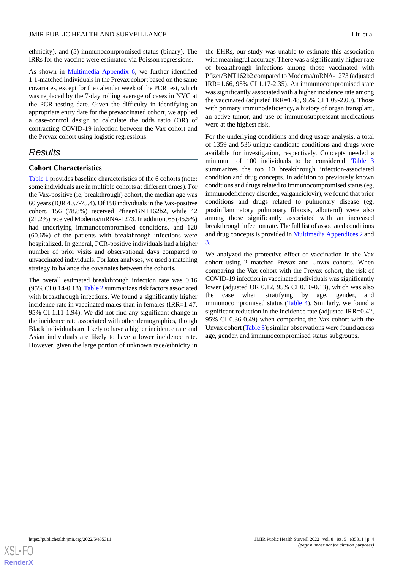ethnicity), and (5) immunocompromised status (binary). The IRRs for the vaccine were estimated via Poisson regressions.

As shown in [Multimedia Appendix 6,](#page-10-5) we further identified 1:1-matched individuals in the Prevax cohort based on the same covariates, except for the calendar week of the PCR test, which was replaced by the 7-day rolling average of cases in NYC at the PCR testing date. Given the difficulty in identifying an appropriate entry date for the prevaccinated cohort, we applied a case-control design to calculate the odds ratio (OR) of contracting COVID-19 infection between the Vax cohort and the Prevax cohort using logistic regressions.

# *Results*

#### **Cohort Characteristics**

[Table 1](#page-4-0) provides baseline characteristics of the 6 cohorts (note: some individuals are in multiple cohorts at different times). For the Vax-positive (ie, breakthrough) cohort, the median age was 60 years (IQR 40.7-75.4). Of 198 individuals in the Vax-positive cohort, 156 (78.8%) received Pfizer/BNT162b2, while 42 (21.2%) received Moderna/mRNA-1273. In addition, 65 (45.5%) had underlying immunocompromised conditions, and 120 (60.6%) of the patients with breakthrough infections were hospitalized. In general, PCR-positive individuals had a higher number of prior visits and observational days compared to unvaccinated individuals. For later analyses, we used a matching strategy to balance the covariates between the cohorts.

The overall estimated breakthrough infection rate was 0.16 (95% CI 0.14-0.18). [Table 2](#page-6-0) summarizes risk factors associated with breakthrough infections. We found a significantly higher incidence rate in vaccinated males than in females (IRR=1.47, 95% CI 1.11-1.94). We did not find any significant change in the incidence rate associated with other demographics, though Black individuals are likely to have a higher incidence rate and Asian individuals are likely to have a lower incidence rate. However, given the large portion of unknown race/ethnicity in

the EHRs, our study was unable to estimate this association with meaningful accuracy. There was a significantly higher rate of breakthrough infections among those vaccinated with Pfizer/BNT162b2 compared to Moderna/mRNA-1273 (adjusted IRR=1.66, 95% CI 1.17-2.35). An immunocompromised state was significantly associated with a higher incidence rate among the vaccinated (adjusted IRR=1.48, 95% CI 1.09-2.00). Those with primary immunodeficiency, a history of organ transplant, an active tumor, and use of immunosuppressant medications were at the highest risk.

For the underlying conditions and drug usage analysis, a total of 1359 and 536 unique candidate conditions and drugs were available for investigation, respectively. Concepts needed a minimum of 100 individuals to be considered. [Table 3](#page-7-0) summarizes the top 10 breakthrough infection-associated condition and drug concepts. In addition to previously known conditions and drugs related to immunocompromised status (eg, immunodeficiency disorder, valganciclovir), we found that prior conditions and drugs related to pulmonary disease (eg, postinflammatory pulmonary fibrosis, albuterol) were also among those significantly associated with an increased breakthrough infection rate. The full list of associated conditions and drug concepts is provided in [Multimedia Appendices 2](#page-10-1) and [3.](#page-10-2)

We analyzed the protective effect of vaccination in the Vax cohort using 2 matched Prevax and Unvax cohorts. When comparing the Vax cohort with the Prevax cohort, the risk of COVID-19 infection in vaccinated individuals was significantly lower (adjusted OR 0.12, 95% CI 0.10-0.13), which was also the case when stratifying by age, gender, and immunocompromised status [\(Table 4\)](#page-8-0). Similarly, we found a significant reduction in the incidence rate (adjusted IRR=0.42, 95% CI 0.36-0.49) when comparing the Vax cohort with the Unvax cohort [\(Table 5](#page-8-1)); similar observations were found across age, gender, and immunocompromised status subgroups.

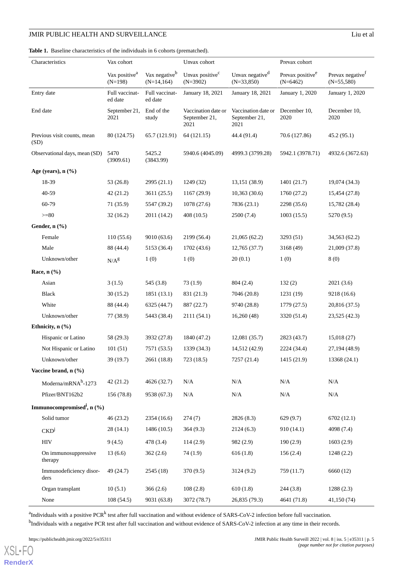<span id="page-4-0"></span>**Table 1.** Baseline characteristics of the individuals in 6 cohorts (prematched).

|                      | Characteristics                          | Vax cohort                             |                                            | Unvax cohort                                 |                                              | Prevax cohort                              |                                              |
|----------------------|------------------------------------------|----------------------------------------|--------------------------------------------|----------------------------------------------|----------------------------------------------|--------------------------------------------|----------------------------------------------|
|                      |                                          | Vax positive <sup>a</sup><br>$(N=198)$ | Vax negative <sup>b</sup><br>$(N=14, 164)$ | Unvax positive <sup>c</sup><br>$(N=3902)$    | Unvax negative <sup>d</sup><br>$(N=33,850)$  | Prevax positive <sup>e</sup><br>$(N=6462)$ | Prevax negative <sup>f</sup><br>$(N=55,580)$ |
|                      | Entry date                               | Full vaccinat-<br>ed date              | Full vaccinat-<br>ed date                  | January 18, 2021                             | January 18, 2021                             | January 1, 2020                            | January 1, 2020                              |
|                      | End date                                 | September 21,<br>2021                  | End of the<br>study                        | Vaccination date or<br>September 21,<br>2021 | Vaccination date or<br>September 21,<br>2021 | December 10,<br>2020                       | December 10,<br>2020                         |
| (SD)                 | Previous visit counts, mean              | 80 (124.75)                            | 65.7 (121.91)                              | 64 (121.15)                                  | 44.4 (91.4)                                  | 70.6 (127.86)                              | 45.2 (95.1)                                  |
|                      | Observational days, mean (SD)            | 5470<br>(3909.61)                      | 5425.2<br>(3843.99)                        | 5940.6 (4045.09)                             | 4999.3 (3799.28)                             | 5942.1 (3978.71)                           | 4932.6 (3672.63)                             |
|                      | Age (years), $n$ (%)                     |                                        |                                            |                                              |                                              |                                            |                                              |
|                      | 18-39                                    | 53 (26.8)                              | 2995 (21.1)                                | 1249 (32)                                    | 13,151 (38.9)                                | 1401(21.7)                                 | 19,074 (34.3)                                |
|                      | 40-59                                    | 42(21.2)                               | 3611 (25.5)                                | 1167 (29.9)                                  | 10,363(30.6)                                 | 1760 (27.2)                                | 15,454 (27.8)                                |
|                      | 60-79                                    | 71(35.9)                               | 5547 (39.2)                                | 1078(27.6)                                   | 7836 (23.1)                                  | 2298 (35.6)                                | 15,782 (28.4)                                |
|                      | $>= 80$                                  | 32(16.2)                               | 2011 (14.2)                                | 408(10.5)                                    | 2500 (7.4)                                   | 1003(15.5)                                 | 5270 (9.5)                                   |
|                      | Gender, n (%)                            |                                        |                                            |                                              |                                              |                                            |                                              |
|                      | Female                                   | 110(55.6)                              | 9010 (63.6)                                | 2199 (56.4)                                  | 21,065 (62.2)                                | 3293 (51)                                  | 34,563 (62.2)                                |
|                      | Male                                     | 88 (44.4)                              | 5153 (36.4)                                | 1702 (43.6)                                  | 12,765(37.7)                                 | 3168 (49)                                  | 21,009 (37.8)                                |
|                      | Unknown/other                            | $N/A^g$                                | 1(0)                                       | 1(0)                                         | 20(0.1)                                      | 1(0)                                       | 8(0)                                         |
|                      | Race, $n$ $(\%)$                         |                                        |                                            |                                              |                                              |                                            |                                              |
|                      | Asian                                    | 3(1.5)                                 | 545 (3.8)                                  | 73(1.9)                                      | 804(2.4)                                     | 132(2)                                     | 2021(3.6)                                    |
|                      | <b>Black</b>                             | 30(15.2)                               | 1851(13.1)                                 | 831 (21.3)                                   | 7046 (20.8)                                  | 1231(19)                                   | 9218 (16.6)                                  |
|                      | White                                    | 88 (44.4)                              | 6325 (44.7)                                | 887 (22.7)                                   | 9740 (28.8)                                  | 1779(27.5)                                 | 20,816 (37.5)                                |
|                      | Unknown/other                            | 77 (38.9)                              | 5443 (38.4)                                | 2111 (54.1)                                  | 16,260(48)                                   | 3320 (51.4)                                | 23,525 (42.3)                                |
|                      | Ethnicity, n (%)                         |                                        |                                            |                                              |                                              |                                            |                                              |
|                      | Hispanic or Latino                       | 58 (29.3)                              | 3932 (27.8)                                | 1840 (47.2)                                  | 12,081 (35.7)                                | 2823 (43.7)                                | 15,018 (27)                                  |
|                      | Not Hispanic or Latino                   | 101(51)                                | 7571 (53.5)                                | 1339 (34.3)                                  | 14,512 (42.9)                                | 2224 (34.4)                                | 27,194 (48.9)                                |
|                      | Unknown/other                            | 39 (19.7)                              | 2661 (18.8)                                | 723 (18.5)                                   | 7257 (21.4)                                  | 1415 (21.9)                                | 13368 (24.1)                                 |
| Vaccine brand, n (%) |                                          |                                        |                                            |                                              |                                              |                                            |                                              |
|                      | Moderna/m $\text{RNA}^{\text{h}}$ -1273  | 42(21.2)                               | 4626 (32.7)                                | N/A                                          | $\rm N/A$                                    | $\rm N/A$                                  | N/A                                          |
|                      | Pfizer/BNT162b2                          | 156 (78.8)                             | 9538 (67.3)                                | N/A                                          | N/A                                          | N/A                                        | N/A                                          |
|                      | Immunocompromised <sup>i</sup> , $n$ (%) |                                        |                                            |                                              |                                              |                                            |                                              |
|                      | Solid tumor                              | 46(23.2)                               | 2354 (16.6)                                | 274(7)                                       | 2826 (8.3)                                   | 629(9.7)                                   | 6702 (12.1)                                  |
|                      | $CKD^j$                                  | 28(14.1)                               | 1486 (10.5)                                | 364(9.3)                                     | 2124(6.3)                                    | 910 (14.1)                                 | 4098 (7.4)                                   |
|                      | HIV                                      | 9(4.5)                                 | 478 (3.4)                                  | 114(2.9)                                     | 982 (2.9)                                    | 190(2.9)                                   | 1603(2.9)                                    |
|                      | On immunosuppressive<br>therapy          | 13(6.6)                                | 362(2.6)                                   | 74 (1.9)                                     | 616(1.8)                                     | 156(2.4)                                   | 1248 (2.2)                                   |
|                      | Immunodeficiency disor-<br>ders          | 49 (24.7)                              | 2545(18)                                   | 370 (9.5)                                    | 3124 (9.2)                                   | 759 (11.7)                                 | 6660 (12)                                    |
|                      | Organ transplant                         | 10(5.1)                                | 366(2.6)                                   | 108(2.8)                                     | 610(1.8)                                     | 244(3.8)                                   | 1288(2.3)                                    |
|                      | None                                     | 108(54.5)                              | 9031 (63.8)                                | 3072 (78.7)                                  | 26,835 (79.3)                                | 4641 (71.8)                                | 41,150(74)                                   |

<sup>a</sup>Individuals with a positive PCR<sup>k</sup> test after full vaccination and without evidence of SARS-CoV-2 infection before full vaccination.

<sup>b</sup>Individuals with a negative PCR test after full vaccination and without evidence of SARS-CoV-2 infection at any time in their records.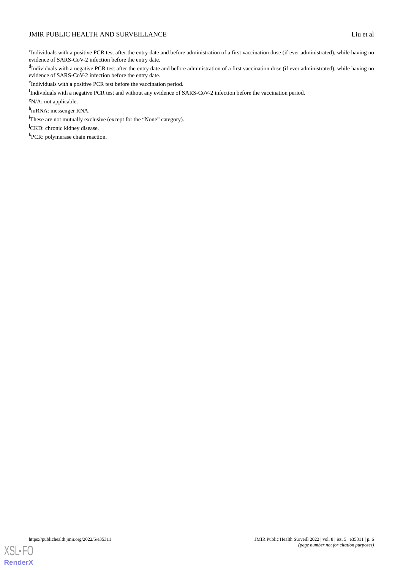<sup>c</sup>Individuals with a positive PCR test after the entry date and before administration of a first vaccination dose (if ever administrated), while having no evidence of SARS-CoV-2 infection before the entry date.

<sup>d</sup>Individuals with a negative PCR test after the entry date and before administration of a first vaccination dose (if ever administrated), while having no evidence of SARS-CoV-2 infection before the entry date.

<sup>e</sup>Individuals with a positive PCR test before the vaccination period.

<sup>f</sup>Individuals with a negative PCR test and without any evidence of SARS-CoV-2 infection before the vaccination period.

<sup>g</sup>N/A: not applicable.

<sup>h</sup>mRNA: messenger RNA.

<sup>i</sup>These are not mutually exclusive (except for the "None" category).

<sup>j</sup>CKD: chronic kidney disease.

<sup>k</sup>PCR: polymerase chain reaction.

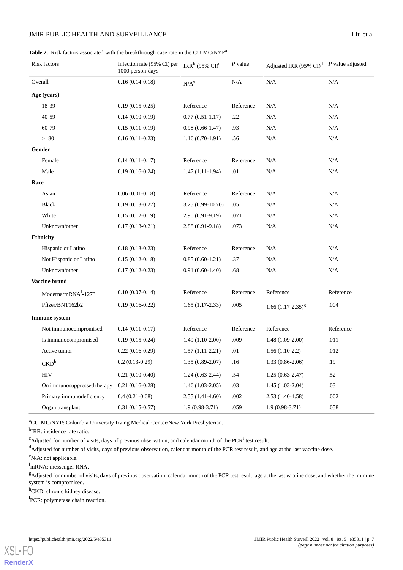#### <span id="page-6-0"></span>Table 2. Risk factors associated with the breakthrough case rate in the CUIMC/NYP<sup>a</sup>.

| Risk factors                    | Infection rate (95% CI) per $\text{IRR}^b$ (95% CI) <sup>c</sup><br>1000 person-days |                   | $P$ value | Adjusted IRR (95% CI) <sup>d</sup> P value adjusted |           |
|---------------------------------|--------------------------------------------------------------------------------------|-------------------|-----------|-----------------------------------------------------|-----------|
| Overall                         | $0.16(0.14-0.18)$                                                                    | $N/A^e$           | $\rm N/A$ | N/A                                                 | $\rm N/A$ |
| Age (years)                     |                                                                                      |                   |           |                                                     |           |
| 18-39                           | $0.19(0.15-0.25)$                                                                    | Reference         | Reference | N/A                                                 | N/A       |
| 40-59                           | $0.14(0.10-0.19)$                                                                    | $0.77(0.51-1.17)$ | .22       | N/A                                                 | N/A       |
| 60-79                           | $0.15(0.11-0.19)$                                                                    | $0.98(0.66-1.47)$ | .93       | N/A                                                 | N/A       |
| $>= 80$                         | $0.16(0.11-0.23)$                                                                    | $1.16(0.70-1.91)$ | .56       | N/A                                                 | N/A       |
| Gender                          |                                                                                      |                   |           |                                                     |           |
| Female                          | $0.14(0.11-0.17)$                                                                    | Reference         | Reference | N/A                                                 | N/A       |
| Male                            | $0.19(0.16-0.24)$                                                                    | $1.47(1.11-1.94)$ | .01       | N/A                                                 | N/A       |
| Race                            |                                                                                      |                   |           |                                                     |           |
| Asian                           | $0.06(0.01-0.18)$                                                                    | Reference         | Reference | N/A                                                 | N/A       |
| <b>Black</b>                    | $0.19(0.13-0.27)$                                                                    | 3.25 (0.99-10.70) | .05       | $\rm N/A$                                           | $\rm N/A$ |
| White                           | $0.15(0.12-0.19)$                                                                    | $2.90(0.91-9.19)$ | .071      | N/A                                                 | N/A       |
| Unknown/other                   | $0.17(0.13-0.21)$                                                                    | $2.88(0.91-9.18)$ | .073      | N/A                                                 | N/A       |
| <b>Ethnicity</b>                |                                                                                      |                   |           |                                                     |           |
| Hispanic or Latino              | $0.18(0.13-0.23)$                                                                    | Reference         | Reference | N/A                                                 | N/A       |
| Not Hispanic or Latino          | $0.15(0.12-0.18)$                                                                    | $0.85(0.60-1.21)$ | .37       | $\rm N/A$                                           | $\rm N/A$ |
| Unknown/other                   | $0.17(0.12-0.23)$                                                                    | $0.91(0.60-1.40)$ | .68       | N/A                                                 | N/A       |
| <b>Vaccine</b> brand            |                                                                                      |                   |           |                                                     |           |
| Moderna/mRNA <sup>f</sup> -1273 | $0.10(0.07-0.14)$                                                                    | Reference         | Reference | Reference                                           | Reference |
| Pfizer/BNT162b2                 | $0.19(0.16-0.22)$                                                                    | $1.65(1.17-2.33)$ | .005      | $1.66 (1.17 - 2.35)^8$                              | .004      |
| <b>Immune</b> system            |                                                                                      |                   |           |                                                     |           |
| Not immunocompromised           | $0.14(0.11-0.17)$                                                                    | Reference         | Reference | Reference                                           | Reference |
| Is immunocompromised            | $0.19(0.15-0.24)$                                                                    | $1.49(1.10-2.00)$ | .009      | $1.48(1.09-2.00)$                                   | .011      |
| Active tumor                    | $0.22(0.16-0.29)$                                                                    | $1.57(1.11-2.21)$ | .01       | $1.56(1.10-2.2)$                                    | .012      |
| CKD <sup>h</sup>                | $0.2(0.13-0.29)$                                                                     | $1.35(0.89-2.07)$ | .16       | $1.33(0.86-2.06)$                                   | .19       |
| $\rm{HIV}$                      | $0.21(0.10-0.40)$                                                                    | $1.24(0.63-2.44)$ | .54       | $1.25(0.63-2.47)$                                   | .52       |
| On immunosuppressed therapy     | $0.21(0.16-0.28)$                                                                    | $1.46(1.03-2.05)$ | .03       | $1.45(1.03-2.04)$                                   | .03       |
| Primary immunodeficiency        | $0.4(0.21-0.68)$                                                                     | $2.55(1.41-4.60)$ | $.002\,$  | $2.53(1.40-4.58)$                                   | .002      |
| Organ transplant                | $0.31(0.15-0.57)$                                                                    | $1.9(0.98-3.71)$  | .059      | $1.9(0.98-3.71)$                                    | .058      |

<sup>a</sup>CUIMC/NYP: Columbia University Irving Medical Center/New York Presbyterian.

<sup>b</sup>IRR: incidence rate ratio.

 $c^c$ Adjusted for number of visits, days of previous observation, and calendar month of the PCR<sup>i</sup> test result.

<sup>d</sup>Adjusted for number of visits, days of previous observation, calendar month of the PCR test result, and age at the last vaccine dose.

 $e$ N/A: not applicable.

[XSL](http://www.w3.org/Style/XSL)•FO **[RenderX](http://www.renderx.com/)**

<sup>f</sup>mRNA: messenger RNA.

<sup>g</sup>Adjusted for number of visits, days of previous observation, calendar month of the PCR test result, age at the last vaccine dose, and whether the immune system is compromised.

h<sub>CKD</sub>: chronic kidney disease.

<sup>i</sup>PCR: polymerase chain reaction.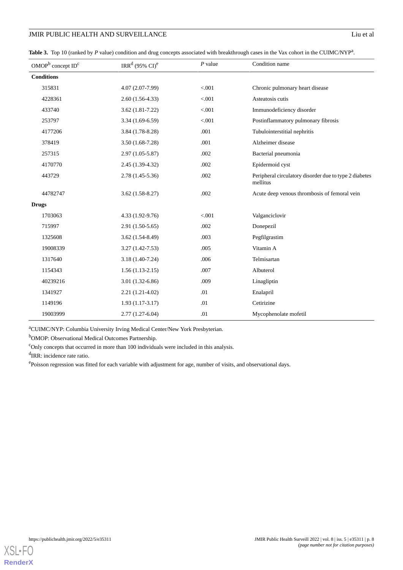<span id="page-7-0"></span>Table 3. Top 10 (ranked by *P* value) condition and drug concepts associated with breakthrough cases in the Vax cohort in the CUIMC/NYP<sup>a</sup>.

| OMOP <sup>b</sup> concept ID <sup>c</sup> | IRR <sup>d</sup> (95% CI) <sup>e</sup> | $P$ value | Condition name                                                     |
|-------------------------------------------|----------------------------------------|-----------|--------------------------------------------------------------------|
| <b>Conditions</b>                         |                                        |           |                                                                    |
| 315831                                    | 4.07 (2.07-7.99)                       | < .001    | Chronic pulmonary heart disease                                    |
| 4228361                                   | $2.60(1.56-4.33)$                      | < .001    | Asteatosis cutis                                                   |
| 433740                                    | $3.62(1.81 - 7.22)$                    | < 0.001   | Immunodeficiency disorder                                          |
| 253797                                    | $3.34(1.69-6.59)$                      | < 0.001   | Postinflammatory pulmonary fibrosis                                |
| 4177206                                   | 3.84 (1.78-8.28)                       | .001      | Tubulointerstitial nephritis                                       |
| 378419                                    | $3.50(1.68-7.28)$                      | .001      | Alzheimer disease                                                  |
| 257315                                    | $2.97(1.05-5.87)$                      | .002      | Bacterial pneumonia                                                |
| 4170770                                   | $2.45(1.39-4.32)$                      | .002      | Epidermoid cyst                                                    |
| 443729                                    | 2.78 (1.45-5.36)                       | .002      | Peripheral circulatory disorder due to type 2 diabetes<br>mellitus |
| 44782747                                  | $3.62(1.58-8.27)$                      | .002      | Acute deep venous thrombosis of femoral vein                       |
| <b>Drugs</b>                              |                                        |           |                                                                    |
| 1703063                                   | 4.33 (1.92-9.76)                       | < 0.001   | Valganciclovir                                                     |
| 715997                                    | $2.91(1.50-5.65)$                      | .002      | Donepezil                                                          |
| 1325608                                   | $3.62(1.54-8.49)$                      | .003      | Pegfilgrastim                                                      |
| 19008339                                  | $3.27(1.42 - 7.53)$                    | .005      | Vitamin A                                                          |
| 1317640                                   | $3.18(1.40-7.24)$                      | .006      | Telmisartan                                                        |
| 1154343                                   | $1.56(1.13-2.15)$                      | .007      | Albuterol                                                          |
| 40239216                                  | $3.01(1.32-6.86)$                      | .009      | Linagliptin                                                        |
| 1341927                                   | $2.21(1.21-4.02)$                      | .01       | Enalapril                                                          |
| 1149196                                   | $1.93(1.17-3.17)$                      | .01       | Cetirizine                                                         |
| 19003999                                  | $2.77(1.27-6.04)$                      | .01       | Mycophenolate mofetil                                              |

<sup>a</sup>CUIMC/NYP: Columbia University Irving Medical Center/New York Presbyterian.

<sup>b</sup>OMOP: Observational Medical Outcomes Partnership.

 $\text{°Only concepts that occurred in more than 100 individuals were included in this analysis.}$ 

<sup>d</sup>IRR: incidence rate ratio.

epoisson regression was fitted for each variable with adjustment for age, number of visits, and observational days.

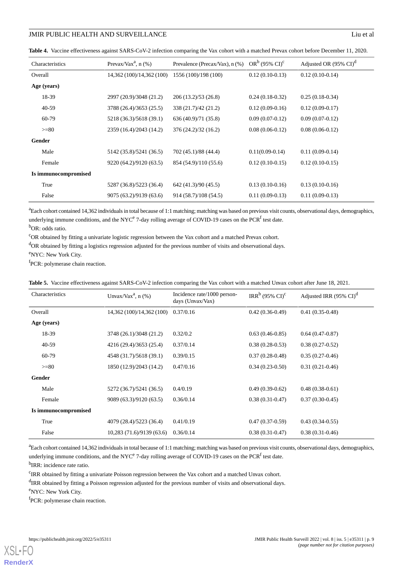<span id="page-8-0"></span>**Table 4.** Vaccine effectiveness against SARS-CoV-2 infection comparing the Vax cohort with a matched Prevax cohort before December 11, 2020.

| Characteristics      | Prevax/Vax <sup>a</sup> , $n$ (%) | Prevalence (Precax/Vax), n (%) | $OR^b$ (95% CI) <sup>c</sup> | Adjusted OR $(95\% \text{ CI})^d$ |
|----------------------|-----------------------------------|--------------------------------|------------------------------|-----------------------------------|
| Overall              | 14,362 (100)/14,362 (100)         | 1556 (100)/198 (100)           | $0.12(0.10-0.13)$            | $0.12(0.10-0.14)$                 |
| Age (years)          |                                   |                                |                              |                                   |
| 18-39                | 2997 (20.9)/3048 (21.2)           | 206(13.2)/53(26.8)             | $0.24(0.18-0.32)$            | $0.25(0.18-0.34)$                 |
| $40-59$              | 3788 (26.4)/3653 (25.5)           | 338 (21.7)/42 (21.2)           | $0.12(0.09-0.16)$            | $0.12(0.09-0.17)$                 |
| 60-79                | 5218 (36.3)/5618 (39.1)           | 636 (40.9)/71 (35.8)           | $0.09(0.07-0.12)$            | $0.09(0.07-0.12)$                 |
| $>= 80$              | 2359 (16.4)/2043 (14.2)           | 376 (24.2)/32 (16.2)           | $0.08(0.06-0.12)$            | $0.08(0.06-0.12)$                 |
| Gender               |                                   |                                |                              |                                   |
| Male                 | 5142 (35.8)/5241 (36.5)           | 702 (45.1)/88 (44.4)           | $0.11(0.09-0.14)$            | $0.11(0.09-0.14)$                 |
| Female               | 9220 (64.2)/9120 (63.5)           | 854 (54.9)/110 (55.6)          | $0.12(0.10-0.15)$            | $0.12(0.10-0.15)$                 |
| Is immunocompromised |                                   |                                |                              |                                   |
| True                 | 5287 (36.8)/5223 (36.4)           | 642 (41.3)/90 (45.5)           | $0.13(0.10-0.16)$            | $0.13(0.10-0.16)$                 |
| False                | 9075 (63.2)/9139 (63.6)           | 914 (58.7)/108 (54.5)          | $0.11(0.09-0.13)$            | $0.11(0.09-0.13)$                 |

<sup>a</sup>Each cohort contained 14,362 individuals in total because of 1:1 matching; matching was based on previous visit counts, observational days, demographics, underlying immune conditions, and the NYC<sup>e</sup> 7-day rolling average of COVID-19 cases on the PCR<sup>f</sup> test date. b<sub>OR</sub>: odds ratio.

<sup>c</sup>OR obtained by fitting a univariate logistic regression between the Vax cohort and a matched Prevax cohort.

<sup>d</sup>OR obtained by fitting a logistics regression adjusted for the previous number of visits and observational days.

<span id="page-8-1"></span><sup>e</sup>NYC: New York City.

<sup>f</sup>PCR: polymerase chain reaction.

| <b>Table 5.</b> Vaccine effectiveness against SARS-CoV-2 infection comparing the Vax cohort with a matched Unvax cohort after June 18, 2021. |  |
|----------------------------------------------------------------------------------------------------------------------------------------------|--|
|----------------------------------------------------------------------------------------------------------------------------------------------|--|

| Characteristics      | Unvax/Vax <sup>a</sup> , $n$ (%) | Incidence rate/1000 person-<br>days (Unvax/Vax) | IRR <sup>b</sup> (95% CI) <sup>c</sup> | Adjusted IRR $(95\% \text{ CI})^d$ |
|----------------------|----------------------------------|-------------------------------------------------|----------------------------------------|------------------------------------|
| Overall              | 14,362 (100)/14,362 (100)        | 0.37/0.16                                       | $0.42(0.36-0.49)$                      | $0.41(0.35-0.48)$                  |
| Age (years)          |                                  |                                                 |                                        |                                    |
| 18-39                | 3748 (26.1)/3048 (21.2)          | 0.32/0.2                                        | $0.63(0.46-0.85)$                      | $0.64(0.47-0.87)$                  |
| $40-59$              | 4216 (29.4)/3653 (25.4)          | 0.37/0.14                                       | $0.38(0.28-0.53)$                      | $0.38(0.27-0.52)$                  |
| 60-79                | 4548 (31.7)/5618 (39.1)          | 0.39/0.15                                       | $0.37(0.28-0.48)$                      | $0.35(0.27-0.46)$                  |
| $>= 80$              | 1850 (12.9)/2043 (14.2)          | 0.47/0.16                                       | $0.34(0.23-0.50)$                      | $0.31(0.21-0.46)$                  |
| Gender               |                                  |                                                 |                                        |                                    |
| Male                 | 5272 (36.7)/5241 (36.5)          | 0.4/0.19                                        | $0.49(0.39-0.62)$                      | $0.48(0.38-0.61)$                  |
| Female               | 9089 (63.3)/9120 (63.5)          | 0.36/0.14                                       | $0.38(0.31-0.47)$                      | $0.37(0.30-0.45)$                  |
| Is immunocompromised |                                  |                                                 |                                        |                                    |
| True                 | 4079 (28.4)/5223 (36.4)          | 0.41/0.19                                       | $0.47(0.37-0.59)$                      | $0.43(0.34-0.55)$                  |
| False                | 10,283 (71.6)/9139 (63.6)        | 0.36/0.14                                       | $0.38(0.31-0.47)$                      | $0.38(0.31-0.46)$                  |

<sup>a</sup>Each cohort contained 14,362 individuals in total because of 1:1 matching; matching was based on previous visit counts, observational days, demographics, underlying immune conditions, and the NYC<sup>e</sup> 7-day rolling average of COVID-19 cases on the PCR<sup>f</sup> test date.

<sup>b</sup>IRR: incidence rate ratio.

<sup>c</sup>IRR obtained by fitting a univariate Poisson regression between the Vax cohort and a matched Unvax cohort.

<sup>d</sup>IRR obtained by fitting a Poisson regression adjusted for the previous number of visits and observational days.

<sup>e</sup>NYC: New York City.

[XSL](http://www.w3.org/Style/XSL)•FO **[RenderX](http://www.renderx.com/)**

<sup>f</sup>PCR: polymerase chain reaction.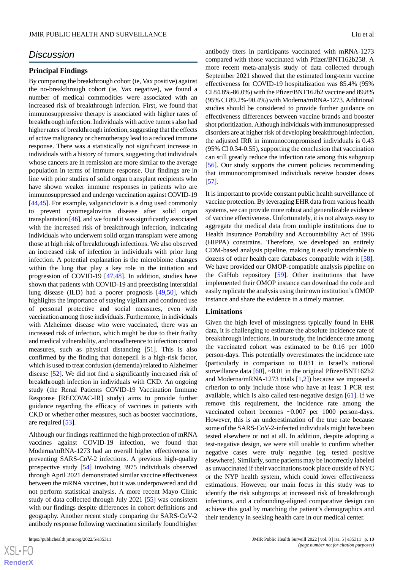# *Discussion*

#### **Principal Findings**

By comparing the breakthrough cohort (ie, Vax positive) against the no-breakthrough cohort (ie, Vax negative), we found a number of medical commodities were associated with an increased risk of breakthrough infection. First, we found that immunosuppressive therapy is associated with higher rates of breakthrough infection. Individuals with active tumors also had higher rates of breakthrough infection, suggesting that the effects of active malignancy or chemotherapy lead to a reduced immune response. There was a statistically not significant increase in individuals with a history of tumors, suggesting that individuals whose cancers are in remission are more similar to the average population in terms of immune response. Our findings are in line with prior studies of solid organ transplant recipients who have shown weaker immune responses in patients who are immunosuppressed and undergo vaccination against COVID-19 [[44](#page-12-18)[,45](#page-12-19)]. For example, valganciclovir is a drug used commonly to prevent cytomegalovirus disease after solid organ transplantation [[46](#page-13-0)], and we found it was significantly associated with the increased risk of breakthrough infection, indicating individuals who underwent solid organ transplant were among those at high risk of breakthrough infections. We also observed an increased risk of infection in individuals with prior lung infection. A potential explanation is the microbiome changes within the lung that play a key role in the initiation and progression of COVID-19 [\[47](#page-13-1),[48\]](#page-13-2). In addition, studies have shown that patients with COVID-19 and preexisting interstitial lung disease (ILD) had a poorer prognosis [[49](#page-13-3)[,50](#page-13-4)], which highlights the importance of staying vigilant and continued use of personal protective and social measures, even with vaccination among those individuals. Furthermore, in individuals with Alzheimer disease who were vaccinated, there was an increased risk of infection, which might be due to their frailty and medical vulnerability, and nonadherence to infection control measures, such as physical distancing [\[51](#page-13-5)]. This is also confirmed by the finding that donepezil is a high-risk factor, which is used to treat confusion (dementia) related to Alzheimer disease [[52\]](#page-13-6). We did not find a significantly increased risk of breakthrough infection in individuals with CKD. An ongoing study (the Renal Patients COVID-19 Vaccination Immune Response [RECOVAC-IR] study) aims to provide further guidance regarding the efficacy of vaccines in patients with CKD or whether other measures, such as booster vaccinations, are required [\[53](#page-13-7)].

Although our findings reaffirmed the high protection of mRNA vaccines against COVID-19 infection, we found that Moderna/mRNA-1273 had an overall higher effectiveness in preventing SARS-CoV-2 infections. A previous high-quality prospective study [\[54](#page-13-8)] involving 3975 individuals observed through April 2021 demonstrated similar vaccine effectiveness between the mRNA vaccines, but it was underpowered and did not perform statistical analysis. A more recent Mayo Clinic study of data collected through July 2021 [[55\]](#page-13-9) was consistent with our findings despite differences in cohort definitions and geography. Another recent study comparing the SARS-CoV-2 antibody response following vaccination similarly found higher

antibody titers in participants vaccinated with mRNA-1273 compared with those vaccinated with Pfizer/BNT162b258. A more recent meta-analysis study of data collected through September 2021 showed that the estimated long-term vaccine effectiveness for COVID-19 hospitalization was 85.4% (95% CI 84.8%-86.0%) with the Pfizer/BNT162b2 vaccine and 89.8% (95% CI 89.2%-90.4%) with Moderna/mRNA-1273. Additional studies should be considered to provide further guidance on effectiveness differences between vaccine brands and booster shot prioritization. Although individuals with immunosuppressed disorders are at higher risk of developing breakthrough infection, the adjusted IRR in immunocompromised individuals is 0.43 (95% CI 0.34-0.55), supporting the conclusion that vaccination can still greatly reduce the infection rate among this subgroup [[56\]](#page-13-10). Our study supports the current policies recommending that immunocompromised individuals receive booster doses [[57\]](#page-13-11).

It is important to provide constant public health surveillance of vaccine protection. By leveraging EHR data from various health systems, we can provide more robust and generalizable evidence of vaccine effectiveness. Unfortunately, it is not always easy to aggregate the medical data from multiple institutions due to Health Insurance Portability and Accountability Act of 1996 (HIPPA) constrains. Therefore, we developed an entirely CDM-based analysis pipeline, making it easily transferable to dozens of other health care databases compatible with it [[58\]](#page-13-12). We have provided our OMOP-compatible analysis pipeline on the GitHub repository [[59\]](#page-13-13). Other institutions that have implemented their OMOP instance can download the code and easily replicate the analysis using their own institution's OMOP instance and share the evidence in a timely manner.

#### **Limitations**

Given the high level of missingness typically found in EHR data, it is challenging to estimate the absolute incidence rate of breakthrough infections. In our study, the incidence rate among the vaccinated cohort was estimated to be 0.16 per 1000 person-days. This potentially overestimates the incidence rate (particularly in comparison to 0.031 in Israel's national surveillance data [\[60](#page-13-14)], ~0.01 in the original Pfizer/BNT162b2 and Moderna/mRNA-1273 trials [[1,](#page-11-0)[2](#page-11-14)]) because we imposed a criterion to only include those who have at least 1 PCR test available, which is also called test-negative design [[61\]](#page-13-15). If we remove this requirement, the incidence rate among the vaccinated cohort becomes ~0.007 per 1000 person-days. However, this is an underestimation of the true rate because some of the SARS-CoV-2-infected individuals might have been tested elsewhere or not at all. In addition, despite adopting a test-negative design, we were still unable to confirm whether negative cases were truly negative (eg, tested positive elsewhere). Similarly, some patients may be incorrectly labeled as unvaccinated if their vaccinations took place outside of NYC or the NYP health system, which could lower effectiveness estimations. However, our main focus in this study was to identify the risk subgroups at increased risk of breakthrough infections, and a cofounding-aligned comparative design can achieve this goal by matching the patient's demographics and their tendency in seeking health care in our medical center.

```
XSJ \cdot FRenderX
```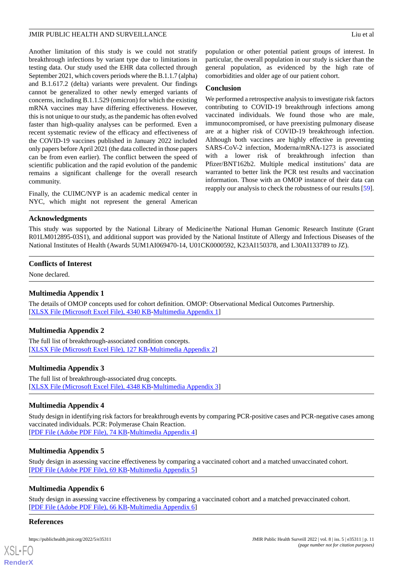Another limitation of this study is we could not stratify breakthrough infections by variant type due to limitations in testing data. Our study used the EHR data collected through September 2021, which covers periods where the B.1.1.7 (alpha) and B.1.617.2 (delta) variants were prevalent. Our findings cannot be generalized to other newly emerged variants of concerns, including B.1.1.529 (omicron) for which the existing mRNA vaccines may have differing effectiveness. However, this is not unique to our study, as the pandemic has often evolved faster than high-quality analyses can be performed. Even a recent systematic review of the efficacy and effectiveness of the COVID-19 vaccines published in January 2022 included only papers before April 2021 (the data collected in those papers can be from even earlier). The conflict between the speed of scientific publication and the rapid evolution of the pandemic remains a significant challenge for the overall research community.

Finally, the CUIMC/NYP is an academic medical center in NYC, which might not represent the general American

population or other potential patient groups of interest. In particular, the overall population in our study is sicker than the general population, as evidenced by the high rate of comorbidities and older age of our patient cohort.

#### **Conclusion**

We performed a retrospective analysis to investigate risk factors contributing to COVID-19 breakthrough infections among vaccinated individuals. We found those who are male, immunocompromised, or have preexisting pulmonary disease are at a higher risk of COVID-19 breakthrough infection. Although both vaccines are highly effective in preventing SARS-CoV-2 infection, Moderna/mRNA-1273 is associated with a lower risk of breakthrough infection than Pfizer/BNT162b2. Multiple medical institutions' data are warranted to better link the PCR test results and vaccination information. Those with an OMOP instance of their data can reapply our analysis to check the robustness of our results [[59\]](#page-13-13).

#### **Acknowledgments**

This study was supported by the National Library of Medicine/the National Human Genomic Research Institute (Grant R01LM012895-03S1), and additional support was provided by the National Institute of Allergy and Infectious Diseases of the National Institutes of Health (Awards 5UM1AI069470-14, U01CK0000592, K23AI150378, and L30AI133789 to JZ).

#### <span id="page-10-0"></span>**Conflicts of Interest**

None declared.

#### <span id="page-10-1"></span>**Multimedia Appendix 1**

The details of OMOP concepts used for cohort definition. OMOP: Observational Medical Outcomes Partnership. [[XLSX File \(Microsoft Excel File\), 4340 KB](https://jmir.org/api/download?alt_name=publichealth_v8i5e35311_app1.xlsx&filename=09df0daf3f54899a8faa6cee7cbca675.xlsx)-[Multimedia Appendix 1\]](https://jmir.org/api/download?alt_name=publichealth_v8i5e35311_app1.xlsx&filename=09df0daf3f54899a8faa6cee7cbca675.xlsx)

#### <span id="page-10-2"></span>**Multimedia Appendix 2**

The full list of breakthrough-associated condition concepts. [[XLSX File \(Microsoft Excel File\), 127 KB](https://jmir.org/api/download?alt_name=publichealth_v8i5e35311_app2.xlsx&filename=f0b8400a2e68fdc39017e58e2bb5b42c.xlsx)-[Multimedia Appendix 2\]](https://jmir.org/api/download?alt_name=publichealth_v8i5e35311_app2.xlsx&filename=f0b8400a2e68fdc39017e58e2bb5b42c.xlsx)

#### <span id="page-10-3"></span>**Multimedia Appendix 3**

The full list of breakthrough-associated drug concepts. [[XLSX File \(Microsoft Excel File\), 4348 KB](https://jmir.org/api/download?alt_name=publichealth_v8i5e35311_app3.xlsx&filename=8da1180fef9d34ef37ac4d1ede199fc4.xlsx)-[Multimedia Appendix 3\]](https://jmir.org/api/download?alt_name=publichealth_v8i5e35311_app3.xlsx&filename=8da1180fef9d34ef37ac4d1ede199fc4.xlsx)

#### <span id="page-10-4"></span>**Multimedia Appendix 4**

Study design in identifying risk factors for breakthrough events by comparing PCR-positive cases and PCR-negative cases among vaccinated individuals. PCR: Polymerase Chain Reaction. [[PDF File \(Adobe PDF File\), 74 KB](https://jmir.org/api/download?alt_name=publichealth_v8i5e35311_app4.pdf&filename=8b3b97e40b18eff686f4f9f9b3946743.pdf)-[Multimedia Appendix 4\]](https://jmir.org/api/download?alt_name=publichealth_v8i5e35311_app4.pdf&filename=8b3b97e40b18eff686f4f9f9b3946743.pdf)

#### <span id="page-10-5"></span>**Multimedia Appendix 5**

Study design in assessing vaccine effectiveness by comparing a vaccinated cohort and a matched unvaccinated cohort. [[PDF File \(Adobe PDF File\), 69 KB](https://jmir.org/api/download?alt_name=publichealth_v8i5e35311_app5.pdf&filename=b385c1685f3b8606b8f27f467cb4b5fa.pdf)-[Multimedia Appendix 5\]](https://jmir.org/api/download?alt_name=publichealth_v8i5e35311_app5.pdf&filename=b385c1685f3b8606b8f27f467cb4b5fa.pdf)

#### **Multimedia Appendix 6**

Study design in assessing vaccine effectiveness by comparing a vaccinated cohort and a matched prevaccinated cohort. [[PDF File \(Adobe PDF File\), 66 KB](https://jmir.org/api/download?alt_name=publichealth_v8i5e35311_app6.pdf&filename=ca77eeb612fdb4f632fb5dd0c68ae324.pdf)-[Multimedia Appendix 6\]](https://jmir.org/api/download?alt_name=publichealth_v8i5e35311_app6.pdf&filename=ca77eeb612fdb4f632fb5dd0c68ae324.pdf)

#### **References**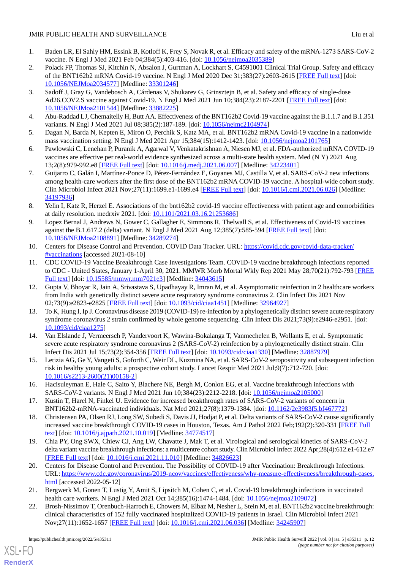- <span id="page-11-0"></span>1. Baden LR, El Sahly HM, Essink B, Kotloff K, Frey S, Novak R, et al. Efficacy and safety of the mRNA-1273 SARS-CoV-2 vaccine. N Engl J Med 2021 Feb 04;384(5):403-416. [doi: [10.1056/nejmoa2035389\]](http://dx.doi.org/10.1056/nejmoa2035389)
- <span id="page-11-14"></span>2. Polack FP, Thomas SJ, Kitchin N, Absalon J, Gurtman A, Lockhart S, C4591001 Clinical Trial Group. Safety and efficacy of the BNT162b2 mRNA Covid-19 vaccine. N Engl J Med 2020 Dec 31;383(27):2603-2615 [[FREE Full text](http://europepmc.org/abstract/MED/33301246)] [doi: [10.1056/NEJMoa2034577](http://dx.doi.org/10.1056/NEJMoa2034577)] [Medline: [33301246](http://www.ncbi.nlm.nih.gov/entrez/query.fcgi?cmd=Retrieve&db=PubMed&list_uids=33301246&dopt=Abstract)]
- <span id="page-11-1"></span>3. Sadoff J, Gray G, Vandebosch A, Cárdenas V, Shukarev G, Grinsztejn B, et al. Safety and efficacy of single-dose Ad26.COV2.S vaccine against Covid-19. N Engl J Med 2021 Jun 10;384(23):2187-2201 [\[FREE Full text\]](http://europepmc.org/abstract/MED/33882225) [doi: [10.1056/NEJMoa2101544](http://dx.doi.org/10.1056/NEJMoa2101544)] [Medline: [33882225](http://www.ncbi.nlm.nih.gov/entrez/query.fcgi?cmd=Retrieve&db=PubMed&list_uids=33882225&dopt=Abstract)]
- <span id="page-11-2"></span>4. Abu-Raddad LJ, Chemaitelly H, Butt AA. Effectiveness of the BNT162b2 Covid-19 vaccine against the B.1.1.7 and B.1.351 variants. N Engl J Med 2021 Jul 08;385(2):187-189. [doi: [10.1056/nejmc2104974\]](http://dx.doi.org/10.1056/nejmc2104974)
- 5. Dagan N, Barda N, Kepten E, Miron O, Perchik S, Katz MA, et al. BNT162b2 mRNA Covid-19 vaccine in a nationwide mass vaccination setting. N Engl J Med 2021 Apr 15;384(15):1412-1423. [doi: [10.1056/nejmoa2101765\]](http://dx.doi.org/10.1056/nejmoa2101765)
- 6. Pawlowski C, Lenehan P, Puranik A, Agarwal V, Venkatakrishnan A, Niesen MJ, et al. FDA-authorized mRNA COVID-19 vaccines are effective per real-world evidence synthesized across a multi-state health system. Med (N Y) 2021 Aug 13;2(8):979-992.e8 [[FREE Full text](http://europepmc.org/abstract/MED/34223401)] [doi: [10.1016/j.medj.2021.06.007](http://dx.doi.org/10.1016/j.medj.2021.06.007)] [Medline: [34223401](http://www.ncbi.nlm.nih.gov/entrez/query.fcgi?cmd=Retrieve&db=PubMed&list_uids=34223401&dopt=Abstract)]
- 7. Guijarro C, Galán I, Martínez-Ponce D, Pérez-Fernández E, Goyanes MJ, Castilla V, et al. SARS-CoV-2 new infections among health-care workers after the first dose of the BNT162b2 mRNA COVID-19 vaccine. A hospital-wide cohort study. Clin Microbiol Infect 2021 Nov;27(11):1699.e1-1699.e4 [\[FREE Full text\]](http://europepmc.org/abstract/MED/34197936) [doi: [10.1016/j.cmi.2021.06.026](http://dx.doi.org/10.1016/j.cmi.2021.06.026)] [Medline: [34197936](http://www.ncbi.nlm.nih.gov/entrez/query.fcgi?cmd=Retrieve&db=PubMed&list_uids=34197936&dopt=Abstract)]
- <span id="page-11-3"></span>8. Yelin I, Katz R, Herzel E. Associations of the bnt162b2 covid-19 vaccine effectiveness with patient age and comorbidities at daily resolution. medrxiv 2021. [doi: [10.1101/2021.03.16.21253686](http://dx.doi.org/10.1101/2021.03.16.21253686)]
- <span id="page-11-4"></span>9. Lopez Bernal J, Andrews N, Gower C, Gallagher E, Simmons R, Thelwall S, et al. Effectiveness of Covid-19 vaccines against the B.1.617.2 (delta) variant. N Engl J Med 2021 Aug 12;385(7):585-594 [[FREE Full text](http://europepmc.org/abstract/MED/34289274)] [doi: [10.1056/NEJMoa2108891](http://dx.doi.org/10.1056/NEJMoa2108891)] [Medline: [34289274](http://www.ncbi.nlm.nih.gov/entrez/query.fcgi?cmd=Retrieve&db=PubMed&list_uids=34289274&dopt=Abstract)]
- <span id="page-11-5"></span>10. Centers for Disease Control and Prevention. COVID Data Tracker. URL: [https://covid.cdc.gov/covid-data-tracker/](https://covid.cdc.gov/covid-data-tracker/#vaccinations) [#vaccinations](https://covid.cdc.gov/covid-data-tracker/#vaccinations) [accessed 2021-08-10]
- <span id="page-11-6"></span>11. CDC COVID-19 Vaccine Breakthrough Case Investigations Team. COVID-19 vaccine breakthrough infections reported to CDC - United States, January 1-April 30, 2021. MMWR Morb Mortal Wkly Rep 2021 May 28;70(21):792-793 [\[FREE](https://doi.org/10.15585/mmwr.mm7021e3) [Full text\]](https://doi.org/10.15585/mmwr.mm7021e3) [doi: [10.15585/mmwr.mm7021e3\]](http://dx.doi.org/10.15585/mmwr.mm7021e3) [Medline: [34043615](http://www.ncbi.nlm.nih.gov/entrez/query.fcgi?cmd=Retrieve&db=PubMed&list_uids=34043615&dopt=Abstract)]
- 12. Gupta V, Bhoyar R, Jain A, Srivastava S, Upadhayay R, Imran M, et al. Asymptomatic reinfection in 2 healthcare workers from India with genetically distinct severe acute respiratory syndrome coronavirus 2. Clin Infect Dis 2021 Nov 02;73(9):e2823-e2825 [[FREE Full text](http://europepmc.org/abstract/MED/32964927)] [doi: [10.1093/cid/ciaa1451\]](http://dx.doi.org/10.1093/cid/ciaa1451) [Medline: [32964927\]](http://www.ncbi.nlm.nih.gov/entrez/query.fcgi?cmd=Retrieve&db=PubMed&list_uids=32964927&dopt=Abstract)
- 13. To K, Hung I, Ip J. Coronavirus disease 2019 (COVID-19) re-infection by a phylogenetically distinct severe acute respiratory syndrome coronavirus 2 strain confirmed by whole genome sequencing. Clin Infect Dis 2021;73(9):e2946-e2951. [doi: [10.1093/cid/ciaa1275\]](http://dx.doi.org/10.1093/cid/ciaa1275)
- <span id="page-11-11"></span>14. Van Elslande J, Vermeersch P, Vandervoort K, Wawina-Bokalanga T, Vanmechelen B, Wollants E, et al. Symptomatic severe acute respiratory syndrome coronavirus 2 (SARS-CoV-2) reinfection by a phylogenetically distinct strain. Clin Infect Dis 2021 Jul 15;73(2):354-356 [[FREE Full text](http://europepmc.org/abstract/MED/32887979)] [doi: [10.1093/cid/ciaa1330\]](http://dx.doi.org/10.1093/cid/ciaa1330) [Medline: [32887979\]](http://www.ncbi.nlm.nih.gov/entrez/query.fcgi?cmd=Retrieve&db=PubMed&list_uids=32887979&dopt=Abstract)
- <span id="page-11-7"></span>15. Letizia AG, Ge Y, Vangeti S, Goforth C, Weir DL, Kuzmina NA, et al. SARS-CoV-2 seropositivity and subsequent infection risk in healthy young adults: a prospective cohort study. Lancet Respir Med 2021 Jul;9(7):712-720. [doi: [10.1016/s2213-2600\(21\)00158-2](http://dx.doi.org/10.1016/s2213-2600(21)00158-2)]
- <span id="page-11-8"></span>16. Hacisuleyman E, Hale C, Saito Y, Blachere NE, Bergh M, Conlon EG, et al. Vaccine breakthrough infections with SARS-CoV-2 variants. N Engl J Med 2021 Jun 10;384(23):2212-2218. [doi: [10.1056/nejmoa2105000\]](http://dx.doi.org/10.1056/nejmoa2105000)
- <span id="page-11-9"></span>17. Kustin T, Harel N, Finkel U. Evidence for increased breakthrough rates of SARS-CoV-2 variants of concern in BNT162b2-mRNA-vaccinated individuals. Nat Med 2021;27(8):1379-1384. [doi: [10.1162/2e3983f5.bf467772\]](http://dx.doi.org/10.1162/2e3983f5.bf467772)
- <span id="page-11-10"></span>18. Christensen PA, Olsen RJ, Long SW, Subedi S, Davis JJ, Hodjat P, et al. Delta variants of SARS-CoV-2 cause significantly increased vaccine breakthrough COVID-19 cases in Houston, Texas. Am J Pathol 2022 Feb;192(2):320-331 [[FREE Full](http://europepmc.org/abstract/MED/34774517) [text](http://europepmc.org/abstract/MED/34774517)] [doi: [10.1016/j.ajpath.2021.10.019](http://dx.doi.org/10.1016/j.ajpath.2021.10.019)] [Medline: [34774517\]](http://www.ncbi.nlm.nih.gov/entrez/query.fcgi?cmd=Retrieve&db=PubMed&list_uids=34774517&dopt=Abstract)
- <span id="page-11-12"></span>19. Chia PY, Ong SWX, Chiew CJ, Ang LW, Chavatte J, Mak T, et al. Virological and serological kinetics of SARS-CoV-2 delta variant vaccine breakthrough infections: a multicentre cohort study. Clin Microbiol Infect 2022 Apr;28(4):612.e1-612.e7 [[FREE Full text](https://linkinghub.elsevier.com/retrieve/pii/S1198-743X(21)00638-8)] [doi: [10.1016/j.cmi.2021.11.010\]](http://dx.doi.org/10.1016/j.cmi.2021.11.010) [Medline: [34826623](http://www.ncbi.nlm.nih.gov/entrez/query.fcgi?cmd=Retrieve&db=PubMed&list_uids=34826623&dopt=Abstract)]
- <span id="page-11-13"></span>20. Centers for Disease Control and Prevention. The Possibility of COVID-19 after Vaccination: Breakthrough Infections. URL: [https://www.cdc.gov/coronavirus/2019-ncov/vaccines/effectiveness/why-measure-effectiveness/breakthrough-cases.](https://www.cdc.gov/coronavirus/2019-ncov/vaccines/effectiveness/why-measure-effectiveness/breakthrough-cases.html) [html](https://www.cdc.gov/coronavirus/2019-ncov/vaccines/effectiveness/why-measure-effectiveness/breakthrough-cases.html) [accessed 2022-05-12]
- 21. Bergwerk M, Gonen T, Lustig Y, Amit S, Lipsitch M, Cohen C, et al. Covid-19 breakthrough infections in vaccinated health care workers. N Engl J Med 2021 Oct 14;385(16):1474-1484. [doi: [10.1056/nejmoa2109072](http://dx.doi.org/10.1056/nejmoa2109072)]
- 22. Brosh-Nissimov T, Orenbuch-Harroch E, Chowers M, Elbaz M, Nesher L, Stein M, et al. BNT162b2 vaccine breakthrough: clinical characteristics of 152 fully vaccinated hospitalized COVID-19 patients in Israel. Clin Microbiol Infect 2021 Nov;27(11):1652-1657 [[FREE Full text](http://europepmc.org/abstract/MED/34245907)] [doi: [10.1016/j.cmi.2021.06.036\]](http://dx.doi.org/10.1016/j.cmi.2021.06.036) [Medline: [34245907](http://www.ncbi.nlm.nih.gov/entrez/query.fcgi?cmd=Retrieve&db=PubMed&list_uids=34245907&dopt=Abstract)]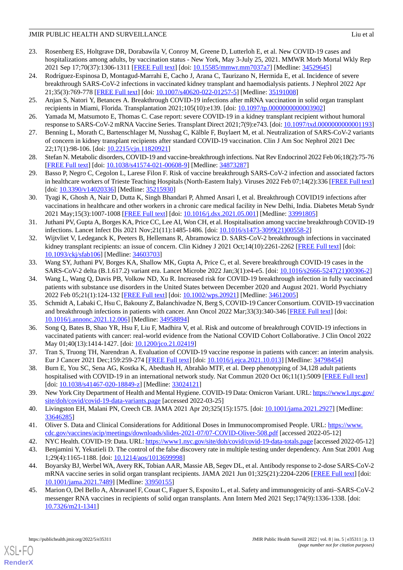- <span id="page-12-0"></span>23. Rosenberg ES, Holtgrave DR, Dorabawila V, Conroy M, Greene D, Lutterloh E, et al. New COVID-19 cases and hospitalizations among adults, by vaccination status - New York, May 3-July 25, 2021. MMWR Morb Mortal Wkly Rep 2021 Sep 17;70(37):1306-1311 [[FREE Full text](https://doi.org/10.15585/mmwr.mm7037a7)] [doi: [10.15585/mmwr.mm7037a7\]](http://dx.doi.org/10.15585/mmwr.mm7037a7) [Medline: [34529645\]](http://www.ncbi.nlm.nih.gov/entrez/query.fcgi?cmd=Retrieve&db=PubMed&list_uids=34529645&dopt=Abstract)
- <span id="page-12-1"></span>24. Rodríguez-Espinosa D, Montagud-Marrahi E, Cacho J, Arana C, Taurizano N, Hermida E, et al. Incidence of severe breakthrough SARS-CoV-2 infections in vaccinated kidney transplant and haemodialysis patients. J Nephrol 2022 Apr 21;35(3):769-778 [[FREE Full text](http://europepmc.org/abstract/MED/35191008)] [doi: [10.1007/s40620-022-01257-5\]](http://dx.doi.org/10.1007/s40620-022-01257-5) [Medline: [35191008\]](http://www.ncbi.nlm.nih.gov/entrez/query.fcgi?cmd=Retrieve&db=PubMed&list_uids=35191008&dopt=Abstract)
- 25. Anjan S, Natori Y, Betances A. Breakthrough COVID-19 infections after mRNA vaccination in solid organ transplant recipients in Miami, Florida. Transplantation 2021;105(10):e139. [doi: [10.1097/tp.0000000000003902](http://dx.doi.org/10.1097/tp.0000000000003902)]
- <span id="page-12-2"></span>26. Yamada M, Matsumoto E, Thomas C. Case report: severe COVID-19 in a kidney transplant recipient without humoral response to SARS-CoV-2 mRNA Vaccine Series. Transplant Direct 2021;7(9):e743. [doi: [10.1097/txd.0000000000001193\]](http://dx.doi.org/10.1097/txd.0000000000001193)
- <span id="page-12-3"></span>27. Benning L, Morath C, Bartenschlager M, Nusshag C, Kälble F, Buylaert M, et al. Neutralization of SARS-CoV-2 variants of concern in kidney transplant recipients after standard COVID-19 vaccination. Clin J Am Soc Nephrol 2021 Dec 22;17(1):98-106. [doi: [10.2215/cjn.11820921](http://dx.doi.org/10.2215/cjn.11820921)]
- <span id="page-12-4"></span>28. Stefan N. Metabolic disorders, COVID-19 and vaccine-breakthrough infections. Nat Rev Endocrinol 2022 Feb 06;18(2):75-76 [[FREE Full text](http://europepmc.org/abstract/MED/34873287)] [doi: [10.1038/s41574-021-00608-9\]](http://dx.doi.org/10.1038/s41574-021-00608-9) [Medline: [34873287](http://www.ncbi.nlm.nih.gov/entrez/query.fcgi?cmd=Retrieve&db=PubMed&list_uids=34873287&dopt=Abstract)]
- <span id="page-12-5"></span>29. Basso P, Negro C, Cegolon L, Larese Filon F. Risk of vaccine breakthrough SARS-CoV-2 infection and associated factors in healthcare workers of Trieste Teaching Hospitals (North-Eastern Italy). Viruses 2022 Feb 07;14(2):336 [[FREE Full text](https://www.mdpi.com/resolver?pii=v14020336)] [doi: [10.3390/v14020336](http://dx.doi.org/10.3390/v14020336)] [Medline: [35215930\]](http://www.ncbi.nlm.nih.gov/entrez/query.fcgi?cmd=Retrieve&db=PubMed&list_uids=35215930&dopt=Abstract)
- <span id="page-12-6"></span>30. Tyagi K, Ghosh A, Nair D, Dutta K, Singh Bhandari P, Ahmed Ansari I, et al. Breakthrough COVID19 infections after vaccinations in healthcare and other workers in a chronic care medical facility in New Delhi, India. Diabetes Metab Syndr 2021 May;15(3):1007-1008 [[FREE Full text](http://europepmc.org/abstract/MED/33991805)] [doi: [10.1016/j.dsx.2021.05.001](http://dx.doi.org/10.1016/j.dsx.2021.05.001)] [Medline: [33991805](http://www.ncbi.nlm.nih.gov/entrez/query.fcgi?cmd=Retrieve&db=PubMed&list_uids=33991805&dopt=Abstract)]
- <span id="page-12-7"></span>31. Juthani PV, Gupta A, Borges KA, Price CC, Lee AI, Won CH, et al. Hospitalisation among vaccine breakthrough COVID-19 infections. Lancet Infect Dis 2021 Nov;21(11):1485-1486. [doi: [10.1016/s1473-3099\(21\)00558-2\]](http://dx.doi.org/10.1016/s1473-3099(21)00558-2)
- <span id="page-12-8"></span>32. Wijtvliet V, Ledeganck K, Peeters B, Hellemans R, Abramowicz D. SARS-CoV-2 breakthrough infections in vaccinated kidney transplant recipients: an issue of concern. Clin Kidney J 2021 Oct;14(10):2261-2262 [\[FREE Full text\]](https://academic.oup.com/ckj/article-lookup/doi/10.1093/ckj/sfab106) [doi: [10.1093/ckj/sfab106](http://dx.doi.org/10.1093/ckj/sfab106)] [Medline: [34603703](http://www.ncbi.nlm.nih.gov/entrez/query.fcgi?cmd=Retrieve&db=PubMed&list_uids=34603703&dopt=Abstract)]
- <span id="page-12-9"></span>33. Wang SY, Juthani PV, Borges KA, Shallow MK, Gupta A, Price C, et al. Severe breakthrough COVID-19 cases in the SARS-CoV-2 delta (B.1.617.2) variant era. Lancet Microbe 2022 Jan;3(1):e4-e5. [doi: [10.1016/s2666-5247\(21\)00306-2](http://dx.doi.org/10.1016/s2666-5247(21)00306-2)]
- <span id="page-12-10"></span>34. Wang L, Wang Q, Davis PB, Volkow ND, Xu R. Increased risk for COVID-19 breakthrough infection in fully vaccinated patients with substance use disorders in the United States between December 2020 and August 2021. World Psychiatry 2022 Feb 05;21(1):124-132 [[FREE Full text](https://doi.org/10.1002/wps.20921)] [doi: [10.1002/wps.20921](http://dx.doi.org/10.1002/wps.20921)] [Medline: [34612005](http://www.ncbi.nlm.nih.gov/entrez/query.fcgi?cmd=Retrieve&db=PubMed&list_uids=34612005&dopt=Abstract)]
- 35. Schmidt A, Labaki C, Hsu C, Bakouny Z, Balanchivadze N, Berg S, COVID-19 Cancer Consortium. COVID-19 vaccination and breakthrough infections in patients with cancer. Ann Oncol 2022 Mar;33(3):340-346 [\[FREE Full text](https://linkinghub.elsevier.com/retrieve/pii/S0923-7534(21)04880-8)] [doi: [10.1016/j.annonc.2021.12.006](http://dx.doi.org/10.1016/j.annonc.2021.12.006)] [Medline: [34958894](http://www.ncbi.nlm.nih.gov/entrez/query.fcgi?cmd=Retrieve&db=PubMed&list_uids=34958894&dopt=Abstract)]
- <span id="page-12-12"></span><span id="page-12-11"></span>36. Song Q, Bates B, Shao YR, Hsu F, Liu F, Madhira V, et al. Risk and outcome of breakthrough COVID-19 infections in vaccinated patients with cancer: real-world evidence from the National COVID Cohort Collaborative. J Clin Oncol 2022 May 01;40(13):1414-1427. [doi: [10.1200/jco.21.02419\]](http://dx.doi.org/10.1200/jco.21.02419)
- <span id="page-12-13"></span>37. Tran S, Truong TH, Narendran A. Evaluation of COVID-19 vaccine response in patients with cancer: an interim analysis. Eur J Cancer 2021 Dec;159:259-274 [[FREE Full text](http://europepmc.org/abstract/MED/34798454)] [doi: [10.1016/j.ejca.2021.10.013\]](http://dx.doi.org/10.1016/j.ejca.2021.10.013) [Medline: [34798454\]](http://www.ncbi.nlm.nih.gov/entrez/query.fcgi?cmd=Retrieve&db=PubMed&list_uids=34798454&dopt=Abstract)
- <span id="page-12-14"></span>38. Burn E, You SC, Sena AG, Kostka K, Abedtash H, Abrahão MTF, et al. Deep phenotyping of 34,128 adult patients hospitalised with COVID-19 in an international network study. Nat Commun 2020 Oct 06;11(1):5009 [[FREE Full text](https://doi.org/10.1038/s41467-020-18849-z)] [doi: [10.1038/s41467-020-18849-z](http://dx.doi.org/10.1038/s41467-020-18849-z)] [Medline: [33024121](http://www.ncbi.nlm.nih.gov/entrez/query.fcgi?cmd=Retrieve&db=PubMed&list_uids=33024121&dopt=Abstract)]
- <span id="page-12-16"></span><span id="page-12-15"></span>39. New York City Department of Health and Mental Hygiene. COVID-19 Data: Omicron Variant. URL: [https://www1.nyc.gov/](https://www1.nyc.gov/site/doh/covid/covid-19-data-variants.page) [site/doh/covid/covid-19-data-variants.page](https://www1.nyc.gov/site/doh/covid/covid-19-data-variants.page) [accessed 2022-03-25]
- <span id="page-12-17"></span>40. Livingston EH, Malani PN, Creech CB. JAMA 2021 Apr 20;325(15):1575. [doi: [10.1001/jama.2021.2927](http://dx.doi.org/10.1001/jama.2021.2927)] [Medline: [33646285](http://www.ncbi.nlm.nih.gov/entrez/query.fcgi?cmd=Retrieve&db=PubMed&list_uids=33646285&dopt=Abstract)]
- <span id="page-12-18"></span>41. Oliver S. Data and Clinical Considerations for Additional Doses in Immunocompromised People. URL: [https://www.](https://www.cdc.gov/vaccines/acip/meetings/downloads/slides-2021-07/07-COVID-Oliver-508.pdf) [cdc.gov/vaccines/acip/meetings/downloads/slides-2021-07/07-COVID-Oliver-508.pdf](https://www.cdc.gov/vaccines/acip/meetings/downloads/slides-2021-07/07-COVID-Oliver-508.pdf) [accessed 2022-05-12]
- <span id="page-12-19"></span>42. NYC Health. COVID-19: Data. URL:<https://www1.nyc.gov/site/doh/covid/covid-19-data-totals.page> [accessed 2022-05-12]
- 43. Benjamini Y, Yekutieli D. The control of the false discovery rate in multiple testing under dependency. Ann Stat 2001 Aug 1;29(4):1165-1188. [doi: [10.1214/aos/1013699998\]](http://dx.doi.org/10.1214/aos/1013699998)
- 44. Boyarsky BJ, Werbel WA, Avery RK, Tobian AAR, Massie AB, Segev DL, et al. Antibody response to 2-dose SARS-CoV-2 mRNA vaccine series in solid organ transplant recipients. JAMA 2021 Jun 01;325(21):2204-2206 [\[FREE Full text\]](http://europepmc.org/abstract/MED/33950155) [doi: [10.1001/jama.2021.7489](http://dx.doi.org/10.1001/jama.2021.7489)] [Medline: [33950155](http://www.ncbi.nlm.nih.gov/entrez/query.fcgi?cmd=Retrieve&db=PubMed&list_uids=33950155&dopt=Abstract)]
- 45. Marion O, Del Bello A, Abravanel F, Couat C, Faguer S, Esposito L, et al. Safety and immunogenicity of anti–SARS-CoV-2 messenger RNA vaccines in recipients of solid organ transplants. Ann Intern Med 2021 Sep;174(9):1336-1338. [doi: [10.7326/m21-1341\]](http://dx.doi.org/10.7326/m21-1341)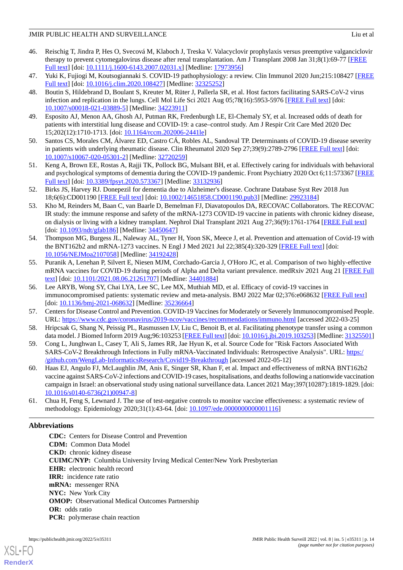- <span id="page-13-0"></span>46. Reischig T, Jindra P, Hes O, Svecová M, Klaboch J, Treska V. Valacyclovir prophylaxis versus preemptive valganciclovir therapy to prevent cytomegalovirus disease after renal transplantation. Am J Transplant 2008 Jan 31;8(1):69-77 [[FREE](https://doi.org/10.1111/j.1600-6143.2007.02031.x) [Full text\]](https://doi.org/10.1111/j.1600-6143.2007.02031.x) [doi: [10.1111/j.1600-6143.2007.02031.x\]](http://dx.doi.org/10.1111/j.1600-6143.2007.02031.x) [Medline: [17973956](http://www.ncbi.nlm.nih.gov/entrez/query.fcgi?cmd=Retrieve&db=PubMed&list_uids=17973956&dopt=Abstract)]
- <span id="page-13-2"></span><span id="page-13-1"></span>47. Yuki K, Fujiogi M, Koutsogiannaki S. COVID-19 pathophysiology: a review. Clin Immunol 2020 Jun;215:108427 [\[FREE](http://europepmc.org/abstract/MED/32325252) [Full text\]](http://europepmc.org/abstract/MED/32325252) [doi: [10.1016/j.clim.2020.108427\]](http://dx.doi.org/10.1016/j.clim.2020.108427) [Medline: [32325252](http://www.ncbi.nlm.nih.gov/entrez/query.fcgi?cmd=Retrieve&db=PubMed&list_uids=32325252&dopt=Abstract)]
- 48. Boutin S, Hildebrand D, Boulant S, Kreuter M, Rüter J, Pallerla SR, et al. Host factors facilitating SARS-CoV-2 virus infection and replication in the lungs. Cell Mol Life Sci 2021 Aug 05;78(16):5953-5976 [[FREE Full text](http://europepmc.org/abstract/MED/34223911)] [doi: [10.1007/s00018-021-03889-5\]](http://dx.doi.org/10.1007/s00018-021-03889-5) [Medline: [34223911\]](http://www.ncbi.nlm.nih.gov/entrez/query.fcgi?cmd=Retrieve&db=PubMed&list_uids=34223911&dopt=Abstract)
- <span id="page-13-4"></span><span id="page-13-3"></span>49. Esposito AJ, Menon AA, Ghosh AJ, Putman RK, Fredenburgh LE, El-Chemaly SY, et al. Increased odds of death for patients with interstitial lung disease and COVID-19: a case–control study. Am J Respir Crit Care Med 2020 Dec 15;202(12):1710-1713. [doi: [10.1164/rccm.202006-2441le\]](http://dx.doi.org/10.1164/rccm.202006-2441le)
- <span id="page-13-5"></span>50. Santos CS, Morales CM, Álvarez ED, Castro CÁ, Robles AL, Sandoval TP. Determinants of COVID-19 disease severity in patients with underlying rheumatic disease. Clin Rheumatol 2020 Sep 27;39(9):2789-2796 [\[FREE Full text\]](http://europepmc.org/abstract/MED/32720259) [doi: [10.1007/s10067-020-05301-2\]](http://dx.doi.org/10.1007/s10067-020-05301-2) [Medline: [32720259\]](http://www.ncbi.nlm.nih.gov/entrez/query.fcgi?cmd=Retrieve&db=PubMed&list_uids=32720259&dopt=Abstract)
- <span id="page-13-6"></span>51. Keng A, Brown EE, Rostas A, Rajji TK, Pollock BG, Mulsant BH, et al. Effectively caring for individuals with behavioral and psychological symptoms of dementia during the COVID-19 pandemic. Front Psychiatry 2020 Oct 6;11:573367 [\[FREE](https://doi.org/10.3389/fpsyt.2020.573367) [Full text\]](https://doi.org/10.3389/fpsyt.2020.573367) [doi: [10.3389/fpsyt.2020.573367\]](http://dx.doi.org/10.3389/fpsyt.2020.573367) [Medline: [33132936](http://www.ncbi.nlm.nih.gov/entrez/query.fcgi?cmd=Retrieve&db=PubMed&list_uids=33132936&dopt=Abstract)]
- <span id="page-13-7"></span>52. Birks JS, Harvey RJ. Donepezil for dementia due to Alzheimer's disease. Cochrane Database Syst Rev 2018 Jun 18;6(6):CD001190 [\[FREE Full text\]](http://europepmc.org/abstract/MED/29923184) [doi: [10.1002/14651858.CD001190.pub3](http://dx.doi.org/10.1002/14651858.CD001190.pub3)] [Medline: [29923184](http://www.ncbi.nlm.nih.gov/entrez/query.fcgi?cmd=Retrieve&db=PubMed&list_uids=29923184&dopt=Abstract)]
- <span id="page-13-8"></span>53. Kho M, Reinders M, Baan C, van Baarle D, Bemelman FJ, Diavatopoulos DA, RECOVAC Collaborators. The RECOVAC IR study: the immune response and safety of the mRNA-1273 COVID-19 vaccine in patients with chronic kidney disease, on dialysis or living with a kidney transplant. Nephrol Dial Transplant 2021 Aug 27;36(9):1761-1764 [\[FREE Full text\]](http://europepmc.org/abstract/MED/34450647) [doi: [10.1093/ndt/gfab186](http://dx.doi.org/10.1093/ndt/gfab186)] [Medline: [34450647](http://www.ncbi.nlm.nih.gov/entrez/query.fcgi?cmd=Retrieve&db=PubMed&list_uids=34450647&dopt=Abstract)]
- <span id="page-13-9"></span>54. Thompson MG, Burgess JL, Naleway AL, Tyner H, Yoon SK, Meece J, et al. Prevention and attenuation of Covid-19 with the BNT162b2 and mRNA-1273 vaccines. N Engl J Med 2021 Jul 22;385(4):320-329 [[FREE Full text](http://europepmc.org/abstract/MED/34192428)] [doi: [10.1056/NEJMoa2107058](http://dx.doi.org/10.1056/NEJMoa2107058)] [Medline: [34192428](http://www.ncbi.nlm.nih.gov/entrez/query.fcgi?cmd=Retrieve&db=PubMed&list_uids=34192428&dopt=Abstract)]
- <span id="page-13-10"></span>55. Puranik A, Lenehan P, Silvert E, Niesen MJM, Corchado-Garcia J, O'Horo JC, et al. Comparison of two highly-effective mRNA vaccines for COVID-19 during periods of Alpha and Delta variant prevalence. medRxiv 2021 Aug 21 [[FREE Full](https://doi.org/10.1101/2021.08.06.21261707) [text](https://doi.org/10.1101/2021.08.06.21261707)] [doi: [10.1101/2021.08.06.21261707](http://dx.doi.org/10.1101/2021.08.06.21261707)] [Medline: [34401884](http://www.ncbi.nlm.nih.gov/entrez/query.fcgi?cmd=Retrieve&db=PubMed&list_uids=34401884&dopt=Abstract)]
- <span id="page-13-12"></span><span id="page-13-11"></span>56. Lee ARYB, Wong SY, Chai LYA, Lee SC, Lee MX, Muthiah MD, et al. Efficacy of covid-19 vaccines in immunocompromised patients: systematic review and meta-analysis. BMJ 2022 Mar 02;376:e068632 [\[FREE Full text\]](http://www.bmj.com/lookup/pmidlookup?view=long&pmid=35236664) [doi: [10.1136/bmj-2021-068632](http://dx.doi.org/10.1136/bmj-2021-068632)] [Medline: [35236664](http://www.ncbi.nlm.nih.gov/entrez/query.fcgi?cmd=Retrieve&db=PubMed&list_uids=35236664&dopt=Abstract)]
- <span id="page-13-13"></span>57. Centers for Disease Control and Prevention. COVID-19 Vaccines for Moderately or Severely Immunocompromised People. URL: <https://www.cdc.gov/coronavirus/2019-ncov/vaccines/recommendations/immuno.html> [accessed 2022-03-25]
- <span id="page-13-14"></span>58. Hripcsak G, Shang N, Peissig PL, Rasmussen LV, Liu C, Benoit B, et al. Facilitating phenotype transfer using a common data model. J Biomed Inform 2019 Aug;96:103253 [[FREE Full text\]](https://linkinghub.elsevier.com/retrieve/pii/S1532-0464(19)30172-8) [doi: [10.1016/j.jbi.2019.103253](http://dx.doi.org/10.1016/j.jbi.2019.103253)] [Medline: [31325501\]](http://www.ncbi.nlm.nih.gov/entrez/query.fcgi?cmd=Retrieve&db=PubMed&list_uids=31325501&dopt=Abstract)
- 59. Cong L, Junghwan L, Casey T, Ali S, James RR, Jae Hyun K, et al. Source Code for "Risk Factors Associated With SARS-CoV-2 Breakthrough Infections in Fully mRNA-Vaccinated Individuals: Retrospective Analysis". URL: [https:/](https://github.com/WengLab-InformaticsResearch/Covid19-Breakthrough) [/github.com/WengLab-InformaticsResearch/Covid19-Breakthrough](https://github.com/WengLab-InformaticsResearch/Covid19-Breakthrough) [accessed 2022-05-12]
- <span id="page-13-15"></span>60. Haas EJ, Angulo FJ, McLaughlin JM, Anis E, Singer SR, Khan F, et al. Impact and effectiveness of mRNA BNT162b2 vaccine against SARS-CoV-2 infections and COVID-19 cases, hospitalisations, and deaths following a nationwide vaccination campaign in Israel: an observational study using national surveillance data. Lancet 2021 May;397(10287):1819-1829. [doi: [10.1016/s0140-6736\(21\)00947-8](http://dx.doi.org/10.1016/s0140-6736(21)00947-8)]
- 61. Chua H, Feng S, Lewnard J. The use of test-negative controls to monitor vaccine effectiveness: a systematic review of methodology. Epidemiology 2020;31(1):43-64. [doi: [10.1097/ede.0000000000001116](http://dx.doi.org/10.1097/ede.0000000000001116)]

# **Abbreviations**

**CDC:** Centers for Disease Control and Prevention **CDM:** Common Data Model **CKD:** chronic kidney disease **CUIMC/NYP:** Columbia University Irving Medical Center/New York Presbyterian **EHR:** electronic health record **IRR:** incidence rate ratio **mRNA:** messenger RNA **NYC:** New York City **OMOP:** Observational Medical Outcomes Partnership **OR:** odds ratio **PCR:** polymerase chain reaction